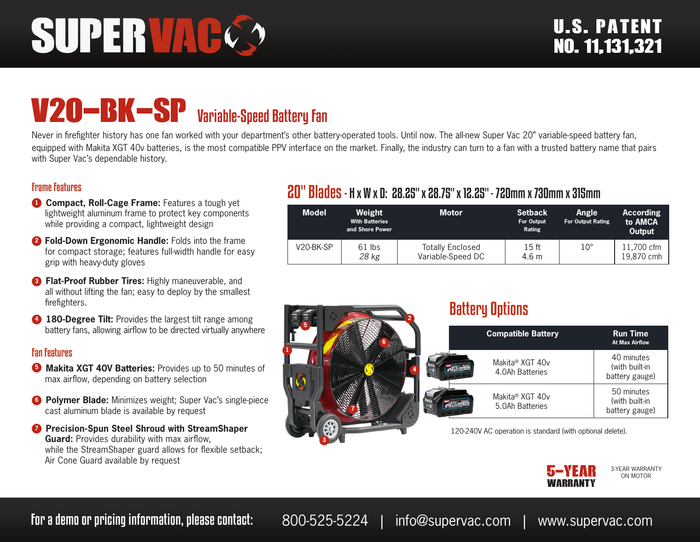# SUPERVAC

# V20-BK-SP Variable-Speed Battery Fan

Never in firefighter history has one fan worked with your department's other battery-operated tools. Until now. The all-new Super Vac 20" variable-speed battery fan, equipped with Makita XGT 40v batteries, is the most compatible PPV interface on the market. Finally, the industry can turn to a fan with a trusted battery name that pairs with Super Vac's dependable history.

#### Frame Features

- **1 Compact, Roll-Cage Frame:** Features a tough yet lightweight aluminum frame to protect key components while providing a compact, lightweight design
- **<sup>2</sup> Fold-Down Ergonomic Handle:** Folds into the frame for compact storage; features full-width handle for easy grip with heavy-duty gloves
- **3 Flat-Proof Rubber Tires: Highly maneuverable, and** all without lifting the fan; easy to deploy by the smallest firefighters.
- **4 180-Degree Tilt:** Provides the largest tilt range among battery fans, allowing airflow to be directed virtually anywhere

#### Fan Features

- **5 Makita XGT 40V Batteries:** Provides up to 50 minutes of max airflow, depending on battery selection
- **6 Polymer Blade:** Minimizes weight; Super Vac's single-piece cast aluminum blade is available by request
- *D* Precision-Spun Steel Shroud with StreamShaper **Guard:** Provides durability with max airflow, while the StreamShaper guard allows for flexible setback; Air Cone Guard available by request

# 20" Blades- H x W x D: 28.25" x 28.75" x 12.25" - 720mm x 730mm x 315mm

| <b>Model</b> | Weight<br><b>With Batteries</b><br>and Shore Power | <b>Motor</b>                                 | <b>Setback</b><br>For Output<br>Rating | Angle<br><b>For Output Rating</b> | <b>According</b><br>to AMCA<br><b>Output</b> |
|--------------|----------------------------------------------------|----------------------------------------------|----------------------------------------|-----------------------------------|----------------------------------------------|
| V20-BK-SP    | $61$ lbs<br>28 kg                                  | <b>Totally Enclosed</b><br>Variable-Speed DC | 15 ft<br>4.6 m                         | $10^{\circ}$                      | 11,700 cfm<br>19.870 cmh                     |



## Battery Options

|   | <b>Compatible Battery</b>          | <b>Run Time</b><br><b>At Max Airflow</b>       |
|---|------------------------------------|------------------------------------------------|
| Δ | Makita® XGT 40v<br>4.0Ah Batteries | 40 minutes<br>(with built-in<br>battery gauge) |
|   | Makita® XGT 40v<br>5.0Ah Batteries | 50 minutes<br>(with built-in<br>battery gauge) |

120-240V AC operation is standard (with optional delete).



3-YEAR WARRANTY ON MOTOR

For a demo or pricing information, please contact: 800-525-5224 | info@supervac.com | www.supervac.com